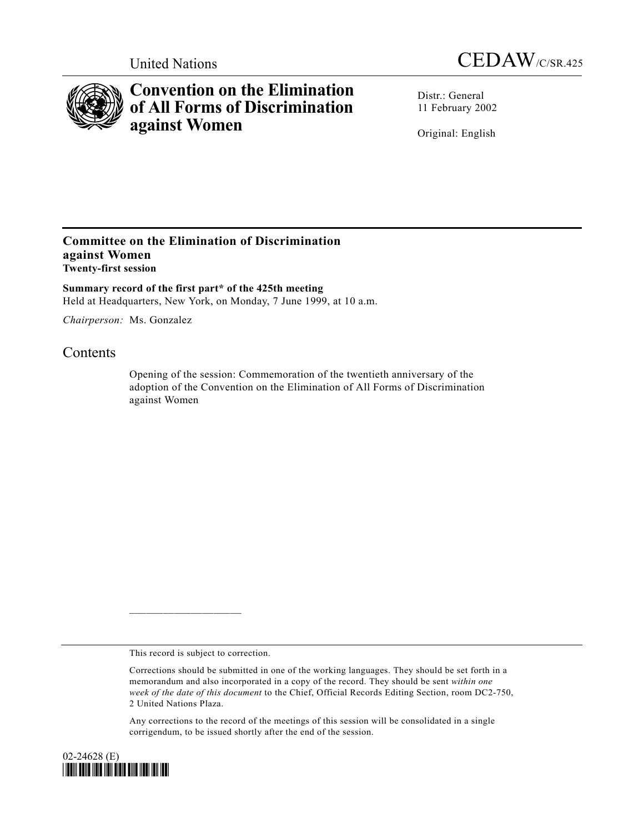



## **Convention on the Elimination of All Forms of Discrimination against Women**

Distr · General 11 February 2002

Original: English

## **Committee on the Elimination of Discrimination against Women Twenty-first session**

**Summary record of the first part\* of the 425th meeting** Held at Headquarters, New York, on Monday, 7 June 1999, at 10 a.m.

*Chairperson:* Ms. Gonzalez

## **Contents**

Opening of the session: Commemoration of the twentieth anniversary of the adoption of the Convention on the Elimination of All Forms of Discrimination against Women

This record is subject to correction.

 $\mathcal{L}_\text{max}$ 

Any corrections to the record of the meetings of this session will be consolidated in a single corrigendum, to be issued shortly after the end of the session.



Corrections should be submitted in one of the working languages. They should be set forth in a memorandum and also incorporated in a copy of the record. They should be sent *within one week of the date of this document* to the Chief, Official Records Editing Section, room DC2-750, 2 United Nations Plaza.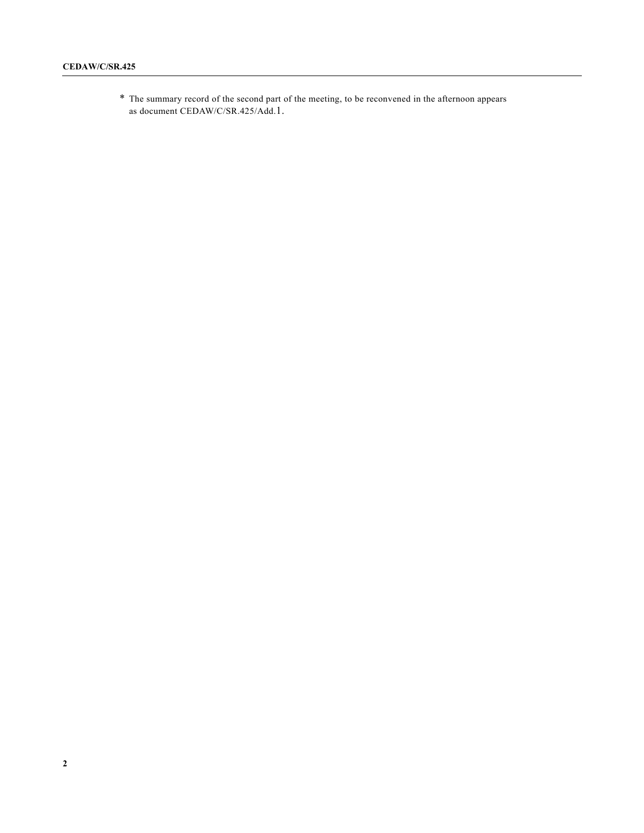\* The summary record of the second part of the meeting, to be reconvened in the afternoon appears as document CEDAW/C/SR.425/Add.1.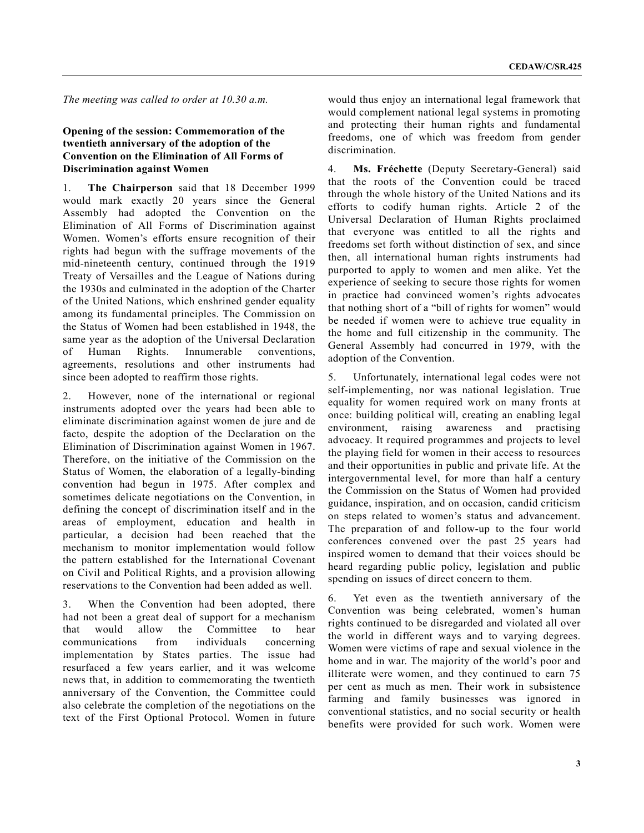*The meeting was called to order at 10.30 a.m.*

## **Opening of the session: Commemoration of the twentieth anniversary of the adoption of the Convention on the Elimination of All Forms of Discrimination against Women**

1. **The Chairperson** said that 18 December 1999 would mark exactly 20 years since the General Assembly had adopted the Convention on the Elimination of All Forms of Discrimination against Women. Women's efforts ensure recognition of their rights had begun with the suffrage movements of the mid-nineteenth century, continued through the 1919 Treaty of Versailles and the League of Nations during the 1930s and culminated in the adoption of the Charter of the United Nations, which enshrined gender equality among its fundamental principles. The Commission on the Status of Women had been established in 1948, the same year as the adoption of the Universal Declaration of Human Rights. Innumerable conventions, agreements, resolutions and other instruments had since been adopted to reaffirm those rights.

2. However, none of the international or regional instruments adopted over the years had been able to eliminate discrimination against women de jure and de facto, despite the adoption of the Declaration on the Elimination of Discrimination against Women in 1967. Therefore, on the initiative of the Commission on the Status of Women, the elaboration of a legally-binding convention had begun in 1975. After complex and sometimes delicate negotiations on the Convention, in defining the concept of discrimination itself and in the areas of employment, education and health in particular, a decision had been reached that the mechanism to monitor implementation would follow the pattern established for the International Covenant on Civil and Political Rights, and a provision allowing reservations to the Convention had been added as well.

3. When the Convention had been adopted, there had not been a great deal of support for a mechanism that would allow the Committee to hear communications from individuals concerning implementation by States parties. The issue had resurfaced a few years earlier, and it was welcome news that, in addition to commemorating the twentieth anniversary of the Convention, the Committee could also celebrate the completion of the negotiations on the text of the First Optional Protocol. Women in future

would thus enjoy an international legal framework that would complement national legal systems in promoting and protecting their human rights and fundamental freedoms, one of which was freedom from gender discrimination.

4. **Ms. Fréchette** (Deputy Secretary-General) said that the roots of the Convention could be traced through the whole history of the United Nations and its efforts to codify human rights. Article 2 of the Universal Declaration of Human Rights proclaimed that everyone was entitled to all the rights and freedoms set forth without distinction of sex, and since then, all international human rights instruments had purported to apply to women and men alike. Yet the experience of seeking to secure those rights for women in practice had convinced women's rights advocates that nothing short of a "bill of rights for women" would be needed if women were to achieve true equality in the home and full citizenship in the community. The General Assembly had concurred in 1979, with the adoption of the Convention.

5. Unfortunately, international legal codes were not self-implementing, nor was national legislation. True equality for women required work on many fronts at once: building political will, creating an enabling legal environment, raising awareness and practising advocacy. It required programmes and projects to level the playing field for women in their access to resources and their opportunities in public and private life. At the intergovernmental level, for more than half a century the Commission on the Status of Women had provided guidance, inspiration, and on occasion, candid criticism on steps related to women's status and advancement. The preparation of and follow-up to the four world conferences convened over the past 25 years had inspired women to demand that their voices should be heard regarding public policy, legislation and public spending on issues of direct concern to them.

6. Yet even as the twentieth anniversary of the Convention was being celebrated, women's human rights continued to be disregarded and violated all over the world in different ways and to varying degrees. Women were victims of rape and sexual violence in the home and in war. The majority of the world's poor and illiterate were women, and they continued to earn 75 per cent as much as men. Their work in subsistence farming and family businesses was ignored in conventional statistics, and no social security or health benefits were provided for such work. Women were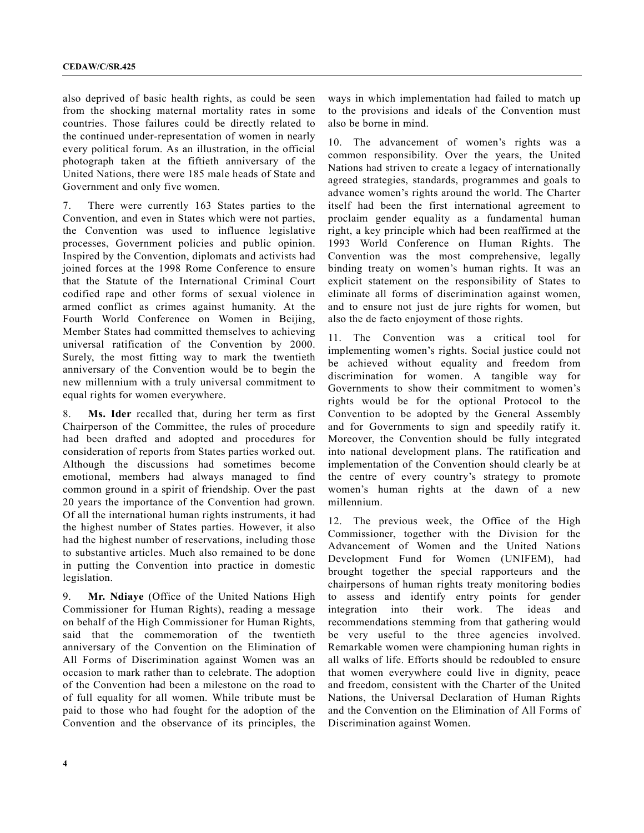also deprived of basic health rights, as could be seen from the shocking maternal mortality rates in some countries. Those failures could be directly related to the continued under-representation of women in nearly every political forum. As an illustration, in the official photograph taken at the fiftieth anniversary of the United Nations, there were 185 male heads of State and Government and only five women.

7. There were currently 163 States parties to the Convention, and even in States which were not parties, the Convention was used to influence legislative processes, Government policies and public opinion. Inspired by the Convention, diplomats and activists had joined forces at the 1998 Rome Conference to ensure that the Statute of the International Criminal Court codified rape and other forms of sexual violence in armed conflict as crimes against humanity. At the Fourth World Conference on Women in Beijing, Member States had committed themselves to achieving universal ratification of the Convention by 2000. Surely, the most fitting way to mark the twentieth anniversary of the Convention would be to begin the new millennium with a truly universal commitment to equal rights for women everywhere.

8. **Ms. Ider** recalled that, during her term as first Chairperson of the Committee, the rules of procedure had been drafted and adopted and procedures for consideration of reports from States parties worked out. Although the discussions had sometimes become emotional, members had always managed to find common ground in a spirit of friendship. Over the past 20 years the importance of the Convention had grown. Of all the international human rights instruments, it had the highest number of States parties. However, it also had the highest number of reservations, including those to substantive articles. Much also remained to be done in putting the Convention into practice in domestic legislation.

9. **Mr. Ndiaye** (Office of the United Nations High Commissioner for Human Rights), reading a message on behalf of the High Commissioner for Human Rights, said that the commemoration of the twentieth anniversary of the Convention on the Elimination of All Forms of Discrimination against Women was an occasion to mark rather than to celebrate. The adoption of the Convention had been a milestone on the road to of full equality for all women. While tribute must be paid to those who had fought for the adoption of the Convention and the observance of its principles, the

ways in which implementation had failed to match up to the provisions and ideals of the Convention must also be borne in mind.

10. The advancement of women's rights was a common responsibility. Over the years, the United Nations had striven to create a legacy of internationally agreed strategies, standards, programmes and goals to advance women's rights around the world. The Charter itself had been the first international agreement to proclaim gender equality as a fundamental human right, a key principle which had been reaffirmed at the 1993 World Conference on Human Rights. The Convention was the most comprehensive, legally binding treaty on women's human rights. It was an explicit statement on the responsibility of States to eliminate all forms of discrimination against women, and to ensure not just de jure rights for women, but also the de facto enjoyment of those rights.

11. The Convention was a critical tool for implementing women's rights. Social justice could not be achieved without equality and freedom from discrimination for women. A tangible way for Governments to show their commitment to women's rights would be for the optional Protocol to the Convention to be adopted by the General Assembly and for Governments to sign and speedily ratify it. Moreover, the Convention should be fully integrated into national development plans. The ratification and implementation of the Convention should clearly be at the centre of every country's strategy to promote women's human rights at the dawn of a new millennium.

12. The previous week, the Office of the High Commissioner, together with the Division for the Advancement of Women and the United Nations Development Fund for Women (UNIFEM), had brought together the special rapporteurs and the chairpersons of human rights treaty monitoring bodies to assess and identify entry points for gender integration into their work. The ideas and recommendations stemming from that gathering would be very useful to the three agencies involved. Remarkable women were championing human rights in all walks of life. Efforts should be redoubled to ensure that women everywhere could live in dignity, peace and freedom, consistent with the Charter of the United Nations, the Universal Declaration of Human Rights and the Convention on the Elimination of All Forms of Discrimination against Women.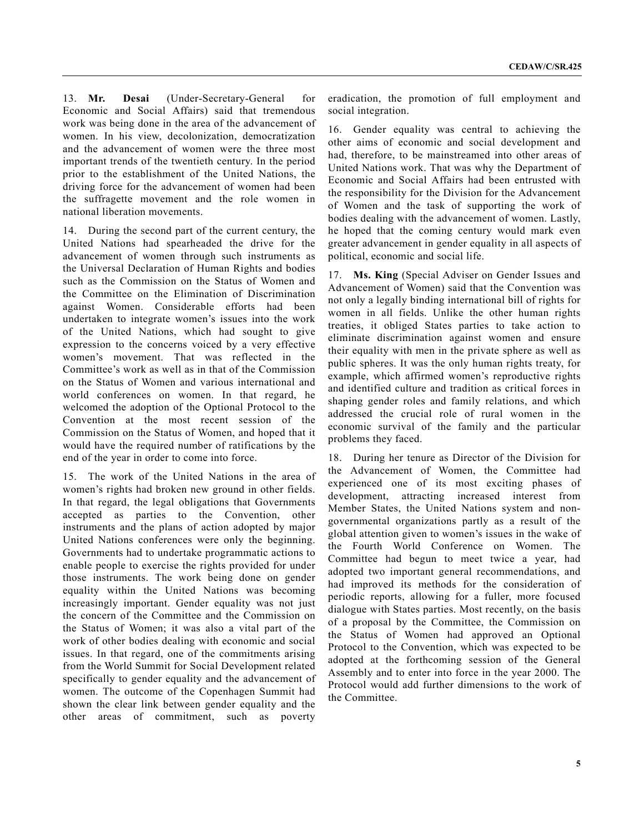13. **Mr. Desai** (Under-Secretary-General for Economic and Social Affairs) said that tremendous work was being done in the area of the advancement of women. In his view, decolonization, democratization and the advancement of women were the three most important trends of the twentieth century. In the period prior to the establishment of the United Nations, the driving force for the advancement of women had been the suffragette movement and the role women in national liberation movements.

14. During the second part of the current century, the United Nations had spearheaded the drive for the advancement of women through such instruments as the Universal Declaration of Human Rights and bodies such as the Commission on the Status of Women and the Committee on the Elimination of Discrimination against Women. Considerable efforts had been undertaken to integrate women's issues into the work of the United Nations, which had sought to give expression to the concerns voiced by a very effective women's movement. That was reflected in the Committee's work as well as in that of the Commission on the Status of Women and various international and world conferences on women. In that regard, he welcomed the adoption of the Optional Protocol to the Convention at the most recent session of the Commission on the Status of Women, and hoped that it would have the required number of ratifications by the end of the year in order to come into force.

15. The work of the United Nations in the area of women's rights had broken new ground in other fields. In that regard, the legal obligations that Governments accepted as parties to the Convention, other instruments and the plans of action adopted by major United Nations conferences were only the beginning. Governments had to undertake programmatic actions to enable people to exercise the rights provided for under those instruments. The work being done on gender equality within the United Nations was becoming increasingly important. Gender equality was not just the concern of the Committee and the Commission on the Status of Women; it was also a vital part of the work of other bodies dealing with economic and social issues. In that regard, one of the commitments arising from the World Summit for Social Development related specifically to gender equality and the advancement of women. The outcome of the Copenhagen Summit had shown the clear link between gender equality and the other areas of commitment, such as poverty

eradication, the promotion of full employment and social integration.

16. Gender equality was central to achieving the other aims of economic and social development and had, therefore, to be mainstreamed into other areas of United Nations work. That was why the Department of Economic and Social Affairs had been entrusted with the responsibility for the Division for the Advancement of Women and the task of supporting the work of bodies dealing with the advancement of women. Lastly, he hoped that the coming century would mark even greater advancement in gender equality in all aspects of political, economic and social life.

17. **Ms. King** (Special Adviser on Gender Issues and Advancement of Women) said that the Convention was not only a legally binding international bill of rights for women in all fields. Unlike the other human rights treaties, it obliged States parties to take action to eliminate discrimination against women and ensure their equality with men in the private sphere as well as public spheres. It was the only human rights treaty, for example, which affirmed women's reproductive rights and identified culture and tradition as critical forces in shaping gender roles and family relations, and which addressed the crucial role of rural women in the economic survival of the family and the particular problems they faced.

18. During her tenure as Director of the Division for the Advancement of Women, the Committee had experienced one of its most exciting phases of development, attracting increased interest from Member States, the United Nations system and nongovernmental organizations partly as a result of the global attention given to women's issues in the wake of the Fourth World Conference on Women. The Committee had begun to meet twice a year, had adopted two important general recommendations, and had improved its methods for the consideration of periodic reports, allowing for a fuller, more focused dialogue with States parties. Most recently, on the basis of a proposal by the Committee, the Commission on the Status of Women had approved an Optional Protocol to the Convention, which was expected to be adopted at the forthcoming session of the General Assembly and to enter into force in the year 2000. The Protocol would add further dimensions to the work of the Committee.